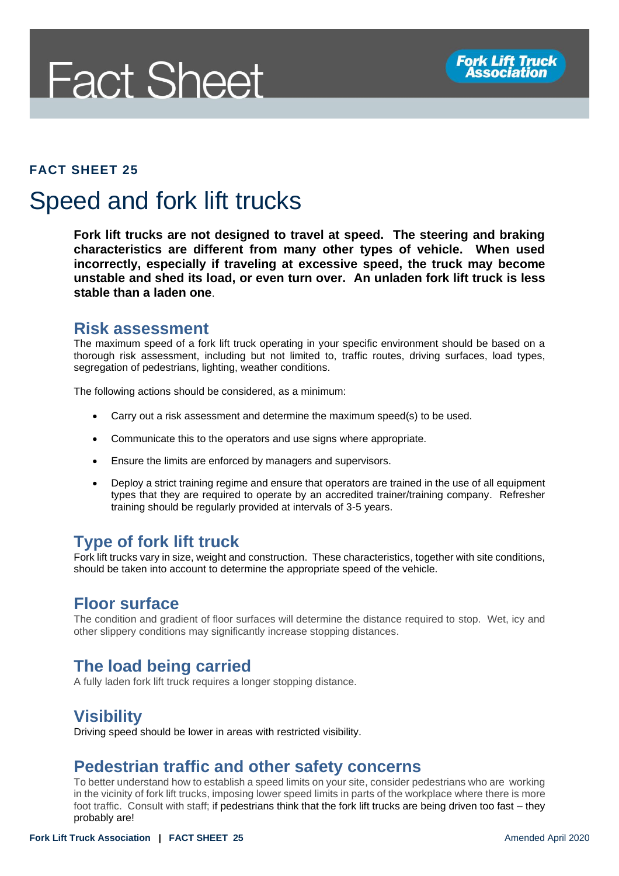# **Fact Sheet**

#### **FACT SHEET 25**

# Speed and fork lift trucks

**Fork lift trucks are not designed to travel at speed. The steering and braking characteristics are different from many other types of vehicle. When used incorrectly, especially if traveling at excessive speed, the truck may become unstable and shed its load, or even turn over. An unladen fork lift truck is less stable than a laden one**.

#### **Risk assessment**

The maximum speed of a fork lift truck operating in your specific environment should be based on a thorough risk assessment, including but not limited to, traffic routes, driving surfaces, load types, segregation of pedestrians, lighting, weather conditions.

The following actions should be considered, as a minimum:

- Carry out a risk assessment and determine the maximum speed(s) to be used.
- Communicate this to the operators and use signs where appropriate.
- Ensure the limits are enforced by managers and supervisors.
- Deploy a strict training regime and ensure that operators are trained in the use of all equipment types that they are required to operate by an accredited trainer/training company. Refresher training should be regularly provided at intervals of 3-5 years.

# **Type of fork lift truck**

Fork lift trucks vary in size, weight and construction. These characteristics, together with site conditions, should be taken into account to determine the appropriate speed of the vehicle.

### **Floor surface**

The condition and gradient of floor surfaces will determine the distance required to stop. Wet, icy and other slippery conditions may significantly increase stopping distances.

# **The load being carried**

A fully laden fork lift truck requires a longer stopping distance.

# **Visibility**

Driving speed should be lower in areas with restricted visibility.

### **Pedestrian traffic and other safety concerns**

To better understand how to establish a speed limits on your site, consider pedestrians who are working in the vicinity of fork lift trucks, imposing lower speed limits in parts of the workplace where there is more foot traffic. Consult with staff; if pedestrians think that the fork lift trucks are being driven too fast – they probably are!